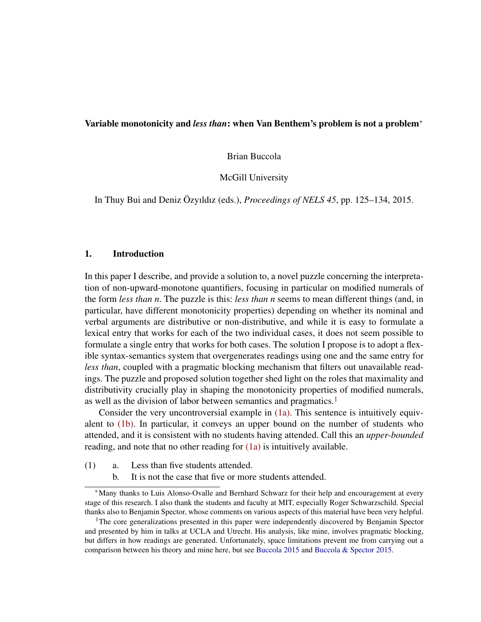#### Variable monotonicity and *less than*: when Van Benthem's problem is not a problem<sup>∗</sup>

Brian Buccola

McGill University

In Thuy Bui and Deniz Özyıldız (eds.), *Proceedings of NELS 45*, pp. 125–134, 2015.

### 1. Introduction

In this paper I describe, and provide a solution to, a novel puzzle concerning the interpretation of non-upward-monotone quantifiers, focusing in particular on modified numerals of the form *less than n*. The puzzle is this: *less than n* seems to mean different things (and, in particular, have different monotonicity properties) depending on whether its nominal and verbal arguments are distributive or non-distributive, and while it is easy to formulate a lexical entry that works for each of the two individual cases, it does not seem possible to formulate a single entry that works for both cases. The solution I propose is to adopt a flexible syntax-semantics system that overgenerates readings using one and the same entry for *less than*, coupled with a pragmatic blocking mechanism that filters out unavailable readings. The puzzle and proposed solution together shed light on the roles that maximality and distributivity crucially play in shaping the monotonicity properties of modified numerals, as well as the division of labor between semantics and pragmatics.[1](#page-0-0)

Consider the very uncontroversial example in [\(1a\).](#page-0-1) This sentence is intuitively equivalent to [\(1b\).](#page-0-2) In particular, it conveys an upper bound on the number of students who attended, and it is consistent with no students having attended. Call this an *upper-bounded* reading, and note that no other reading for [\(1a\)](#page-0-1) is intuitively available.

- <span id="page-0-2"></span><span id="page-0-1"></span>(1) a. Less than five students attended.
	- b. It is not the case that five or more students attended.

<sup>∗</sup>Many thanks to Luis Alonso-Ovalle and Bernhard Schwarz for their help and encouragement at every stage of this research. I also thank the students and faculty at MIT, especially Roger Schwarzschild. Special thanks also to Benjamin Spector, whose comments on various aspects of this material have been very helpful.

<span id="page-0-0"></span><sup>&</sup>lt;sup>1</sup>The core generalizations presented in this paper were independently discovered by Benjamin Spector and presented by him in talks at UCLA and Utrecht. His analysis, like mine, involves pragmatic blocking, but differs in how readings are generated. Unfortunately, space limitations prevent me from carrying out a comparison between his theory and mine here, but see [Buccola](#page-9-0) [2015](#page-9-0) and [Buccola & Spector](#page-9-1) [2015.](#page-9-1)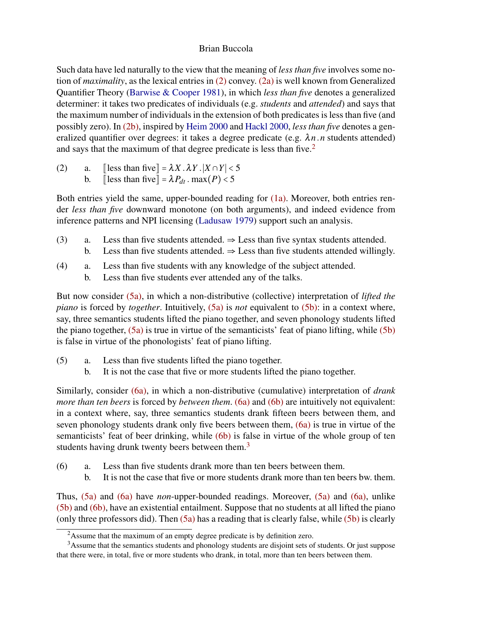Such data have led naturally to the view that the meaning of *less than five* involves some notion of *maximality*, as the lexical entries in [\(2\)](#page-1-0) convey. [\(2a\)](#page-1-1) is well known from Generalized Quantifier Theory [\(Barwise & Cooper](#page-9-2) [1981\)](#page-9-2), in which *less than five* denotes a generalized determiner: it takes two predicates of individuals (e.g. *students* and *attended*) and says that the maximum number of individuals in the extension of both predicates is less than five (and possibly zero). In [\(2b\),](#page-1-2) inspired by [Heim](#page-9-3) [2000](#page-9-3) and [Hackl](#page-9-4) [2000,](#page-9-4) *less than five* denotes a generalized quantifier over degrees: it takes a degree predicate (e.g.  $\lambda n \cdot n$  students attended) and says that the maximum of that degree predicate is less than five.<sup>[2](#page-1-3)</sup>

- <span id="page-1-2"></span><span id="page-1-1"></span><span id="page-1-0"></span>(2) a.  $\left[\text{less than five}\right] = \lambda X \cdot \lambda Y \cdot |X \cap Y| < 5$ 
	- b.  $\left[\text{less than five}\right] = \lambda P_{dt} \cdot \max(P) < 5$

Both entries yield the same, upper-bounded reading for [\(1a\).](#page-0-1) Moreover, both entries render *less than five* downward monotone (on both arguments), and indeed evidence from inference patterns and NPI licensing [\(Ladusaw](#page-9-5) [1979\)](#page-9-5) support such an analysis.

- (3) a. Less than five students attended.  $\Rightarrow$  Less than five syntax students attended. b. Less than five students attended.  $\Rightarrow$  Less than five students attended willingly.
- (4) a. Less than five students with any knowledge of the subject attended.
	- b. Less than five students ever attended any of the talks.

But now consider [\(5a\),](#page-1-4) in which a non-distributive (collective) interpretation of *lifted the piano* is forced by *together*. Intuitively, [\(5a\)](#page-1-4) is *not* equivalent to [\(5b\):](#page-1-5) in a context where, say, three semantics students lifted the piano together, and seven phonology students lifted the piano together, [\(5a\)](#page-1-4) is true in virtue of the semanticists' feat of piano lifting, while [\(5b\)](#page-1-5) is false in virtue of the phonologists' feat of piano lifting.

- <span id="page-1-5"></span><span id="page-1-4"></span>(5) a. Less than five students lifted the piano together.
	- b. It is not the case that five or more students lifted the piano together.

Similarly, consider [\(6a\),](#page-1-6) in which a non-distributive (cumulative) interpretation of *drank more than ten beers* is forced by *between them.* [\(6a\)](#page-1-6) and [\(6b\)](#page-1-7) are intuitively not equivalent: in a context where, say, three semantics students drank fifteen beers between them, and seven phonology students drank only five beers between them, [\(6a\)](#page-1-6) is true in virtue of the semanticists' feat of beer drinking, while [\(6b\)](#page-1-7) is false in virtue of the whole group of ten students having drunk twenty beers between them.<sup>[3](#page-1-8)</sup>

- <span id="page-1-7"></span><span id="page-1-6"></span>(6) a. Less than five students drank more than ten beers between them.
	- b. It is not the case that five or more students drank more than ten beers bw. them.

Thus, [\(5a\)](#page-1-4) and [\(6a\)](#page-1-6) have *non*-upper-bounded readings. Moreover, [\(5a\)](#page-1-4) and [\(6a\),](#page-1-6) unlike [\(5b\)](#page-1-5) and [\(6b\),](#page-1-7) have an existential entailment. Suppose that no students at all lifted the piano (only three professors did). Then  $(5a)$  has a reading that is clearly false, while  $(5b)$  is clearly

<span id="page-1-8"></span><span id="page-1-3"></span> $2A$ ssume that the maximum of an empty degree predicate is by definition zero.

<sup>&</sup>lt;sup>3</sup>Assume that the semantics students and phonology students are disjoint sets of students. Or just suppose that there were, in total, five or more students who drank, in total, more than ten beers between them.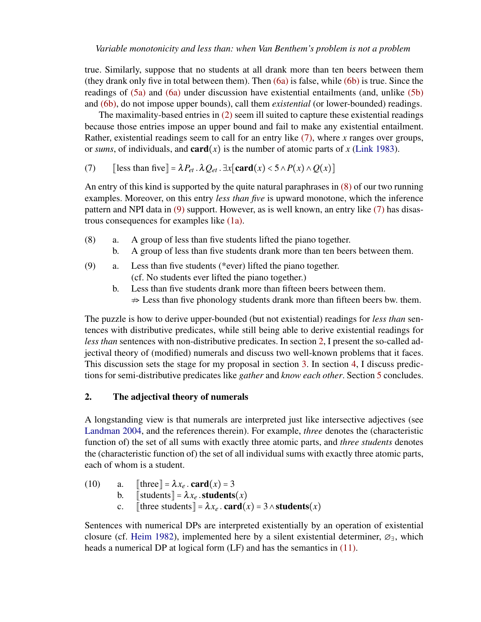true. Similarly, suppose that no students at all drank more than ten beers between them (they drank only five in total between them). Then [\(6a\)](#page-1-6) is false, while [\(6b\)](#page-1-7) is true. Since the readings of [\(5a\)](#page-1-4) and [\(6a\)](#page-1-6) under discussion have existential entailments (and, unlike [\(5b\)](#page-1-5) and [\(6b\),](#page-1-7) do not impose upper bounds), call them *existential* (or lower-bounded) readings.

The maximality-based entries in [\(2\)](#page-1-0) seem ill suited to capture these existential readings because those entries impose an upper bound and fail to make any existential entailment. Rather, existential readings seem to call for an entry like [\(7\),](#page-2-0) where *x* ranges over groups, or *sums*, of individuals, and **card** $(x)$  is the number of atomic parts of x [\(Link](#page-9-6) [1983\)](#page-9-6).

<span id="page-2-0"></span>(7)  $[\text{less than five}] = \lambda P_{et} \cdot \lambda Q_{et} \cdot \exists x [\text{card}(x) < 5 \wedge P(x) \wedge Q(x)]$ 

An entry of this kind is supported by the quite natural paraphrases in [\(8\)](#page-2-1) of our two running examples. Moreover, on this entry *less than five* is upward monotone, which the inference pattern and NPI data in [\(9\)](#page-2-2) support. However, as is well known, an entry like [\(7\)](#page-2-0) has disastrous consequences for examples like [\(1a\).](#page-0-1)

- <span id="page-2-1"></span>(8) a. A group of less than five students lifted the piano together.
	- b. A group of less than five students drank more than ten beers between them.
- <span id="page-2-2"></span>(9) a. Less than five students (\*ever) lifted the piano together. (cf. No students ever lifted the piano together.)
	- b. Less than five students drank more than fifteen beers between them.  $\Rightarrow$  Less than five phonology students drank more than fifteen beers bw. them.

The puzzle is how to derive upper-bounded (but not existential) readings for *less than* sentences with distributive predicates, while still being able to derive existential readings for *less than* sentences with non-distributive predicates. In section [2,](#page-2-3) I present the so-called adjectival theory of (modified) numerals and discuss two well-known problems that it faces. This discussion sets the stage for my proposal in section [3.](#page-5-0) In section [4,](#page-8-0) I discuss predictions for semi-distributive predicates like *gather* and *know each other*. Section [5](#page-8-1) concludes.

# <span id="page-2-3"></span>2. The adjectival theory of numerals

A longstanding view is that numerals are interpreted just like intersective adjectives (see [Landman](#page-9-7) [2004,](#page-9-7) and the references therein). For example, *three* denotes the (characteristic function of) the set of all sums with exactly three atomic parts, and *three students* denotes the (characteristic function of) the set of all individual sums with exactly three atomic parts, each of whom is a student.

(10) a. [three] = 
$$
\lambda x_e
$$
. card(x) = 3  
b. [students] =  $\lambda x_e$ . students(x)  
c. [three students] =  $\lambda x_e$ . card(x) = 3  $\land$  students(x)

<span id="page-2-4"></span>Sentences with numerical DPs are interpreted existentially by an operation of existential closure (cf. [Heim](#page-9-8) [1982\)](#page-9-8), implemented here by a silent existential determiner,  $\varnothing$ <sub>∃</sub>, which heads a numerical DP at logical form (LF) and has the semantics in [\(11\).](#page-2-4)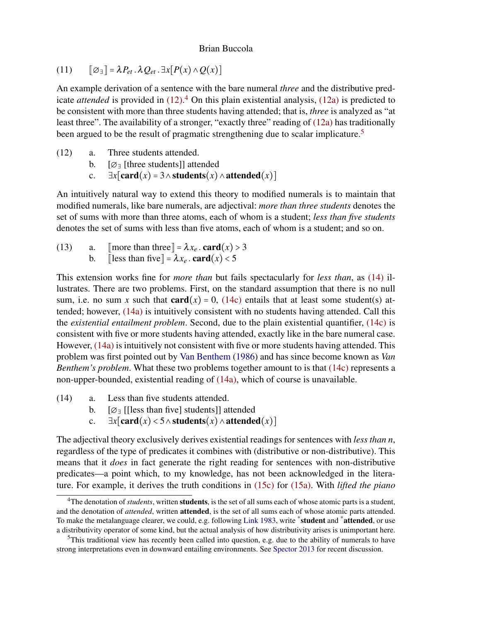(11)  $\left[\emptyset \right] = \lambda P_{et} \cdot \lambda Q_{et} \cdot \exists x [P(x) \wedge Q(x)]$ 

An example derivation of a sentence with the bare numeral *three* and the distributive predicate *attended* is provided in [\(12\).](#page-3-0) [4](#page-3-1) On this plain existential analysis, [\(12a\)](#page-3-2) is predicted to be consistent with more than three students having attended; that is, *three* is analyzed as "at least three". The availability of a stronger, "exactly three" reading of [\(12a\)](#page-3-2) has traditionally been argued to be the result of pragmatic strengthening due to scalar implicature.<sup>[5](#page-3-3)</sup>

- <span id="page-3-2"></span><span id="page-3-0"></span>(12) a. Three students attended.
	- b. [∅<sup>∃</sup> [three students]] attended
	- c.  $∃x[card(x) = 3 ∧ students(x) ∧ attended(x)]$

An intuitively natural way to extend this theory to modified numerals is to maintain that modified numerals, like bare numerals, are adjectival: *more than three students* denotes the set of sums with more than three atoms, each of whom is a student; *less than five students* denotes the set of sums with less than five atoms, each of whom is a student; and so on.

<span id="page-3-7"></span>(13) a.  $\lceil \text{more than three} \rceil = \lambda x_e \cdot \text{card}(x) > 3$ b. [less than five] =  $\lambda x_e$ . card(x) < 5

This extension works fine for *more than* but fails spectacularly for *less than*, as [\(14\)](#page-3-4) illustrates. There are two problems. First, on the standard assumption that there is no null sum, i.e. no sum x such that  $card(x) = 0$ , [\(14c\)](#page-3-5) entails that at least some student(s) attended; however, [\(14a\)](#page-3-6) is intuitively consistent with no students having attended. Call this the *existential entailment problem*. Second, due to the plain existential quantifier, [\(14c\)](#page-3-5) is consistent with five or more students having attended, exactly like in the bare numeral case. However, [\(14a\)](#page-3-6) is intuitively not consistent with five or more students having attended. This problem was first pointed out by [Van Benthem](#page-10-0) [\(1986\)](#page-10-0) and has since become known as *Van Benthem's problem*. What these two problems together amount to is that [\(14c\)](#page-3-5) represents a non-upper-bounded, existential reading of [\(14a\),](#page-3-6) which of course is unavailable.

- <span id="page-3-6"></span><span id="page-3-5"></span><span id="page-3-4"></span>(14) a. Less than five students attended.
	- b.  $[\emptyset]$  [[less than five] students]] attended
	- c.  $∃x[card(x) < 5 ∧ students(x) ∧ attended(x)]$

The adjectival theory exclusively derives existential readings for sentences with *less than n*, regardless of the type of predicates it combines with (distributive or non-distributive). This means that it *does* in fact generate the right reading for sentences with non-distributive predicates—a point which, to my knowledge, has not been acknowledged in the literature. For example, it derives the truth conditions in [\(15c\)](#page-4-0) for [\(15a\).](#page-4-1) With *lifted the piano*

<span id="page-3-1"></span><sup>&</sup>lt;sup>4</sup>The denotation of *students*, written **students**, is the set of all sums each of whose atomic parts is a student, and the denotation of *attended*, written attended, is the set of all sums each of whose atomic parts attended. To make the metalanguage clearer, we could, e.g. following [Link](#page-9-6) [1983,](#page-9-6) write \*student and \*attended, or use a distributivity operator of some kind, but the actual analysis of how distributivity arises is unimportant here.

<span id="page-3-3"></span> $5$ This traditional view has recently been called into question, e.g. due to the ability of numerals to have strong interpretations even in downward entailing environments. See [Spector](#page-9-9) [2013](#page-9-9) for recent discussion.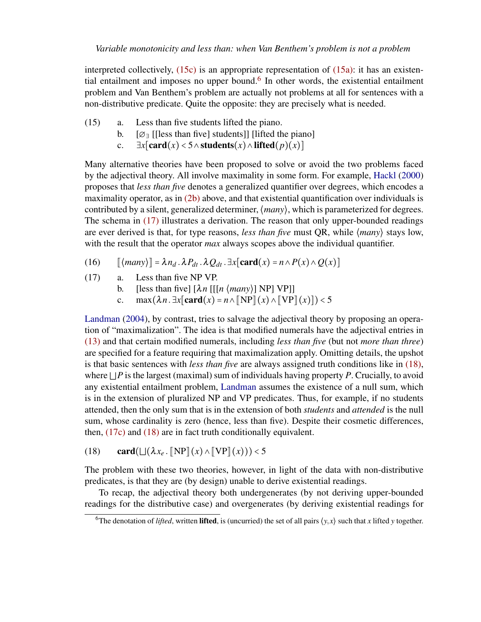interpreted collectively,  $(15c)$  is an appropriate representation of  $(15a)$ : it has an existen-tial entailment and imposes no upper bound.<sup>[6](#page-4-2)</sup> In other words, the existential entailment problem and Van Benthem's problem are actually not problems at all for sentences with a non-distributive predicate. Quite the opposite: they are precisely what is needed.

- <span id="page-4-1"></span>(15) a. Less than five students lifted the piano.
	- b.  $[\emptyset] = [\emptyset]$  [[less than five] students]] [lifted the piano]
	- c.  $\exists x$ [card(*x*) < 5∧students(*x*)∧lifted(*p*)(*x*)]

<span id="page-4-0"></span>Many alternative theories have been proposed to solve or avoid the two problems faced by the adjectival theory. All involve maximality in some form. For example, [Hackl](#page-9-4) [\(2000\)](#page-9-4) proposes that *less than five* denotes a generalized quantifier over degrees, which encodes a maximality operator, as in [\(2b\)](#page-1-2) above, and that existential quantification over individuals is contributed by a silent, generalized determiner, ⟨*many*⟩, which is parameterized for degrees. The schema in [\(17\)](#page-4-3) illustrates a derivation. The reason that only upper-bounded readings are ever derived is that, for type reasons, *less than five* must QR, while ⟨*many*⟩ stays low, with the result that the operator *max* always scopes above the individual quantifier.

- <span id="page-4-3"></span> $(16)$   $[[\langle many \rangle] = \lambda n_d \cdot \lambda P_{dt} \cdot \lambda Q_{dt} \cdot \exists x [\text{card}(x) = n \wedge P(x) \wedge Q(x)]$
- <span id="page-4-5"></span>(17) a. Less than five NP VP.
	- b. [less than five]  $[\lambda n$  [[[*n*  $\langle \text{many} \rangle$ ] NP] VP]]
	- c. max $(\lambda n. \exists x[\text{card}(x) = n \land \lceil \text{NP} \rceil(x) \land \lceil \text{VP} \rceil(x)) \leq 5$

[Landman](#page-9-7) [\(2004\)](#page-9-7), by contrast, tries to salvage the adjectival theory by proposing an operation of "maximalization". The idea is that modified numerals have the adjectival entries in [\(13\)](#page-3-7) and that certain modified numerals, including *less than five* (but not *more than three*) are specified for a feature requiring that maximalization apply. Omitting details, the upshot is that basic sentences with *less than five* are always assigned truth conditions like in [\(18\),](#page-4-4) where ⊔*P* is the largest (maximal) sum of individuals having property *P*. Crucially, to avoid any existential entailment problem, [Landman](#page-9-7) assumes the existence of a null sum, which is in the extension of pluralized NP and VP predicates. Thus, for example, if no students attended, then the only sum that is in the extension of both *students* and *attended* is the null sum, whose cardinality is zero (hence, less than five). Despite their cosmetic differences, then, [\(17c\)](#page-4-5) and [\(18\)](#page-4-4) are in fact truth conditionally equivalent.

<span id="page-4-4"></span>(18) card( $\bigcup (\lambda x_e$ .  $\operatorname{NPI}(x) \wedge \operatorname{IVPI}(x))$ ) < 5

The problem with these two theories, however, in light of the data with non-distributive predicates, is that they are (by design) unable to derive existential readings.

To recap, the adjectival theory both undergenerates (by not deriving upper-bounded readings for the distributive case) and overgenerates (by deriving existential readings for

<span id="page-4-2"></span><sup>&</sup>lt;sup>6</sup>The denotation of *lifted*, written **lifted**, is (uncurried) the set of all pairs  $\langle y, x \rangle$  such that *x* lifted *y* together.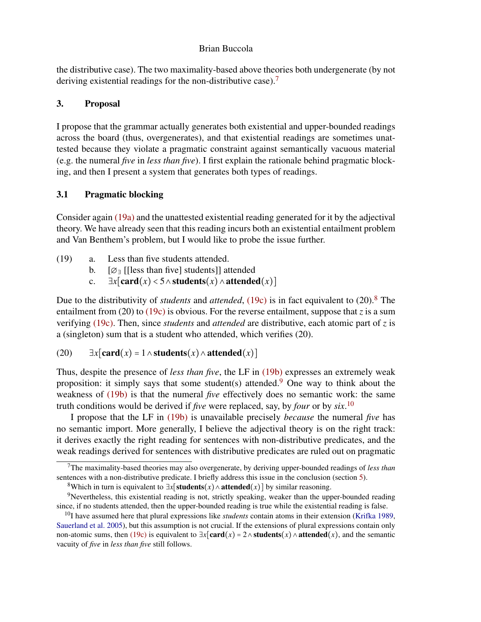the distributive case). The two maximality-based above theories both undergenerate (by not deriving existential readings for the non-distributive case).<sup>[7](#page-5-1)</sup>

# <span id="page-5-0"></span>3. Proposal

I propose that the grammar actually generates both existential and upper-bounded readings across the board (thus, overgenerates), and that existential readings are sometimes unattested because they violate a pragmatic constraint against semantically vacuous material (e.g. the numeral *five* in *less than five*). I first explain the rationale behind pragmatic blocking, and then I present a system that generates both types of readings.

# 3.1 Pragmatic blocking

Consider again [\(19a\)](#page-5-2) and the unattested existential reading generated for it by the adjectival theory. We have already seen that this reading incurs both an existential entailment problem and Van Benthem's problem, but I would like to probe the issue further.

- <span id="page-5-5"></span><span id="page-5-2"></span>(19) a. Less than five students attended.
	- b.  $[\emptyset]$  [[less than five] students]] attended
	- c.  $\exists x$ [card(*x*) < 5 ∧students(*x*) ∧attended(*x*)]

<span id="page-5-3"></span>Due to the distributivity of *students* and *attended*, [\(19c\)](#page-5-3) is in fact equivalent to (20).<sup>[8](#page-5-4)</sup> The entailment from (20) to [\(19c\)](#page-5-3) is obvious. For the reverse entailment, suppose that *z* is a sum verifying [\(19c\).](#page-5-3) Then, since *students* and *attended* are distributive, each atomic part of *z* is a (singleton) sum that is a student who attended, which verifies (20).

# (20)  $\exists x$ [card(*x*) = 1∧students(*x*)∧attended(*x*)]

Thus, despite the presence of *less than five*, the LF in [\(19b\)](#page-5-5) expresses an extremely weak proposition: it simply says that some student(s) attended.<sup>[9](#page-5-6)</sup> One way to think about the weakness of [\(19b\)](#page-5-5) is that the numeral *five* effectively does no semantic work: the same truth conditions would be derived if *five* were replaced, say, by *four* or by *six*. [10](#page-5-7)

I propose that the LF in [\(19b\)](#page-5-5) is unavailable precisely *because* the numeral *five* has no semantic import. More generally, I believe the adjectival theory is on the right track: it derives exactly the right reading for sentences with non-distributive predicates, and the weak readings derived for sentences with distributive predicates are ruled out on pragmatic

<span id="page-5-1"></span><sup>7</sup>The maximality-based theories may also overgenerate, by deriving upper-bounded readings of *less than* sentences with a non-distributive predicate. I briefly address this issue in the conclusion (section [5\)](#page-8-1).

<span id="page-5-6"></span><span id="page-5-4"></span><sup>&</sup>lt;sup>8</sup>Which in turn is equivalent to  $\exists x$ [**students**(*x*)∧attended(*x*)] by similar reasoning.

<sup>&</sup>lt;sup>9</sup>Nevertheless, this existential reading is not, strictly speaking, weaker than the upper-bounded reading since, if no students attended, then the upper-bounded reading is true while the existential reading is false.

<span id="page-5-7"></span><sup>&</sup>lt;sup>10</sup>I have assumed here that plural expressions like *students* contain atoms in their extension [\(Krifka](#page-9-10) [1989,](#page-9-10) [Sauerland et al.](#page-9-11) [2005\)](#page-9-11), but this assumption is not crucial. If the extensions of plural expressions contain only non-atomic sums, then [\(19c\)](#page-5-3) is equivalent to  $\exists x$ [**card**( $x$ ) = 2∧**students**( $x$ )∧**attended**( $x$ ), and the semantic vacuity of *five* in *less than five* still follows.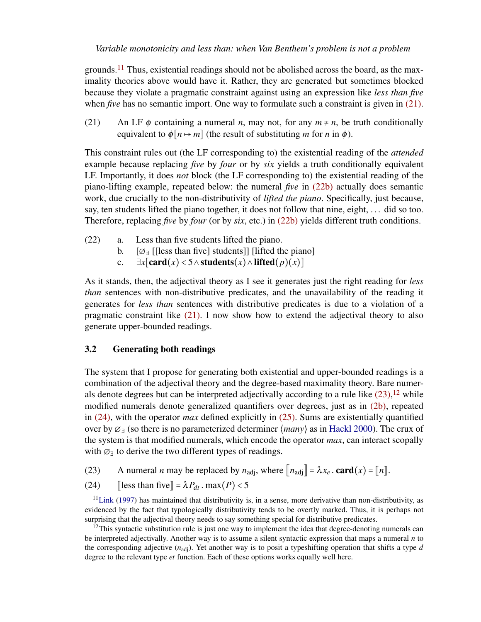*Variable monotonicity and less than: when Van Benthem's problem is not a problem*

grounds.<sup>[11](#page-6-0)</sup> Thus, existential readings should not be abolished across the board, as the maximality theories above would have it. Rather, they are generated but sometimes blocked because they violate a pragmatic constraint against using an expression like *less than five* when *five* has no semantic import. One way to formulate such a constraint is given in [\(21\).](#page-6-1)

<span id="page-6-1"></span>(21) An LF  $\phi$  containing a numeral *n*, may not, for any  $m \neq n$ , be truth conditionally equivalent to  $\phi[n \mapsto m]$  (the result of substituting *m* for *n* in  $\phi$ ).

This constraint rules out (the LF corresponding to) the existential reading of the *attended* example because replacing *five* by *four* or by *six* yields a truth conditionally equivalent LF. Importantly, it does *not* block (the LF corresponding to) the existential reading of the piano-lifting example, repeated below: the numeral *five* in [\(22b\)](#page-6-2) actually does semantic work, due crucially to the non-distributivity of *lifted the piano*. Specifically, just because, say, ten students lifted the piano together, it does not follow that nine, eight, ... did so too. Therefore, replacing *five* by *four* (or by *six*, etc.) in [\(22b\)](#page-6-2) yields different truth conditions.

- <span id="page-6-2"></span>(22) a. Less than five students lifted the piano.
	- b. [∅<sup>∃</sup> [[less than five] students]] [lifted the piano]
	- c. ∃*x*[card(*x*) < 5 ∧ students(*x*) ∧ lifted(*p*)(*x*)]

As it stands, then, the adjectival theory as I see it generates just the right reading for *less than* sentences with non-distributive predicates, and the unavailability of the reading it generates for *less than* sentences with distributive predicates is due to a violation of a pragmatic constraint like [\(21\).](#page-6-1) I now show how to extend the adjectival theory to also generate upper-bounded readings.

## 3.2 Generating both readings

The system that I propose for generating both existential and upper-bounded readings is a combination of the adjectival theory and the degree-based maximality theory. Bare numerals denote degrees but can be interpreted adjectivally according to a rule like  $(23)$ ,  $^{12}$  $^{12}$  $^{12}$  while modified numerals denote generalized quantifiers over degrees, just as in [\(2b\),](#page-1-2) repeated in [\(24\),](#page-6-5) with the operator *max* defined explicitly in [\(25\).](#page-6-6) Sums are existentially quantified over by ∅<sup>∃</sup> (so there is no parameterized determiner ⟨*many*⟩ as in [Hackl](#page-9-4) [2000\)](#page-9-4). The crux of the system is that modified numerals, which encode the operator *max*, can interact scopally with  $\varnothing$ <sub>∃</sub> to derive the two different types of readings.

- <span id="page-6-3"></span>(23) A numeral *n* may be replaced by  $n_{\text{adj}}$ , where  $\left[ n_{\text{adj}} \right] = \lambda x_e$ . card $(x) = \left[ n \right]$ .
- <span id="page-6-6"></span><span id="page-6-5"></span>(24)  $\left[\text{less than five}\right] = \lambda P_{dt} \cdot \text{max}(P) < 5$

<span id="page-6-0"></span> $11$ [Link](#page-9-12) [\(1997\)](#page-9-12) has maintained that distributivity is, in a sense, more derivative than non-distributivity, as evidenced by the fact that typologically distributivity tends to be overtly marked. Thus, it is perhaps not surprising that the adjectival theory needs to say something special for distributive predicates.

<span id="page-6-4"></span> $12$ This syntactic substitution rule is just one way to implement the idea that degree-denoting numerals can be interpreted adjectivally. Another way is to assume a silent syntactic expression that maps a numeral *n* to the corresponding adjective (*n*adj). Yet another way is to posit a typeshifting operation that shifts a type *d* degree to the relevant type *et* function. Each of these options works equally well here.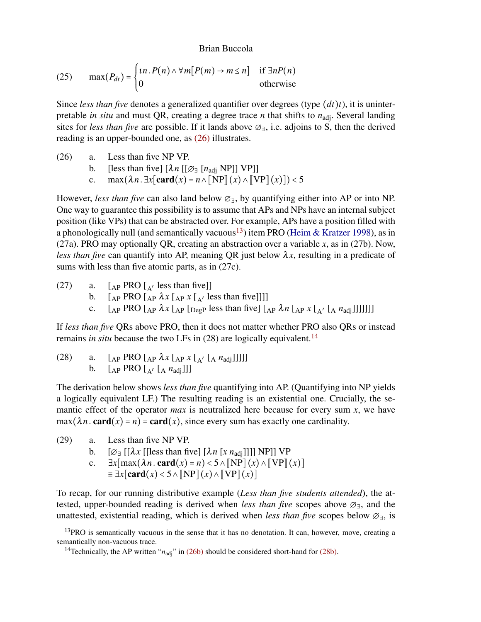(25) 
$$
\max(P_{dt}) = \begin{cases} \n\ln P(n) \wedge \forall m[P(m) \rightarrow m \le n] & \text{if } \exists n P(n) \\ \n0 & \text{otherwise} \n\end{cases}
$$

Since *less than five* denotes a generalized quantifier over degrees (type (*dt*)*t*), it is uninterpretable *in situ* and must QR, creating a degree trace *n* that shifts to  $n_{\text{adi}}$ . Several landing sites for *less than five* are possible. If it lands above ∅∃, i.e. adjoins to S, then the derived reading is an upper-bounded one, as [\(26\)](#page-7-0) illustrates.

- <span id="page-7-3"></span><span id="page-7-0"></span>(26) a. Less than five NP VP.
	- b. [less than five]  $[\lambda n [[\varnothing \exists [n_{\text{adj}} \text{ NP}]] \text{ VP}]]$
	- c. max $(\lambda n. \exists x[\text{card}(x) = n \land \text{NPP}](x) \land \text{NPP}](x))$  < 5

However, *less than five* can also land below ∅∃, by quantifying either into AP or into NP. One way to guarantee this possibility is to assume that APs and NPs have an internal subject position (like VPs) that can be abstracted over. For example, APs have a position filled with a phonologically null (and semantically vacuous<sup>[13](#page-7-1)</sup>) item PRO [\(Heim & Kratzer](#page-9-13) [1998\)](#page-9-13), as in (27a). PRO may optionally QR, creating an abstraction over a variable *x*, as in (27b). Now, *less than five* can quantify into AP, meaning QR just below  $\lambda x$ , resulting in a predicate of sums with less than five atomic parts, as in (27c).

(27) a.  $[A_P$  PRO  $A'$  less than five]] b.  $\left[$   $_{AP}$  PRO  $\left[$   $_{AP}$   $\lambda x$   $\left[$   $_{AP}$   $x$   $\left[$   $_{A'}$  less than five]]]] c.  $\left[ \begin{array}{cc} \begin{bmatrix} A \end{bmatrix} PRO \end{array} \right]$   $\left[ \begin{array}{cc} \begin{bmatrix} A \end{bmatrix} \begin{bmatrix} Deg \\ Peg \end{bmatrix} \right]$  less than five  $\left[ \begin{array}{cc} \begin{bmatrix} A \end{array} \begin{bmatrix} A \end{bmatrix} X \end{array} \right]$   $\left[ \begin{array}{cc} A \end{array} \begin{bmatrix} A \end{array} \begin{bmatrix} A \end{array} \begin{bmatrix} A \end{bmatrix} \end{array} \right]$ 

If *less than five* QRs above PRO, then it does not matter whether PRO also QRs or instead remains *in situ* because the two LFs in (28) are logically equivalent.[14](#page-7-2)

<span id="page-7-4"></span>(28) a.  $[AP PRO [AP \lambda x [AP x [A' [A \ nadj]]]]]$ b.  $\left[$  <sub>AP</sub> PRO  $\left[$  <sub>A</sub>'  $\left[$  A  $n_{\text{adj}}\right]$ ]]

The derivation below shows *less than five* quantifying into AP. (Quantifying into NP yields a logically equivalent LF.) The resulting reading is an existential one. Crucially, the semantic effect of the operator *max* is neutralized here because for every sum *x*, we have  $max(\lambda n \cdot \text{card}(x) = n) = \text{card}(x)$ , since every sum has exactly one cardinality.

- (29) a. Less than five NP VP.
	- b.  $[\emptyset]$  [[ $\lambda x$  [[less than five]  $[\lambda n$  [ $x$   $n_{\text{adj}}$ ]]]] NP]] VP
	- c.  $\exists x \left[ \max(\lambda n . \text{card}(x) = n) \le 5 \land \left[ \text{NP} \right](x) \land \left[ \text{VP} \right](x) \right]$  $\equiv \exists x$ [card(*x*) < 5∧  $\llbracket NP \rrbracket(x) \wedge \llbracket VP \rrbracket(x)$ ]

To recap, for our running distributive example (*Less than five students attended*), the attested, upper-bounded reading is derived when *less than five* scopes above ∅∃, and the unattested, existential reading, which is derived when *less than five* scopes below ∅∃, is

<span id="page-7-1"></span> $13$ PRO is semantically vacuous in the sense that it has no denotation. It can, however, move, creating a semantically non-vacuous trace.

<span id="page-7-2"></span><sup>&</sup>lt;sup>14</sup>Technically, the AP written " $n_{\text{adj}}$ " in [\(26b\)](#page-7-3) should be considered short-hand for [\(28b\).](#page-7-4)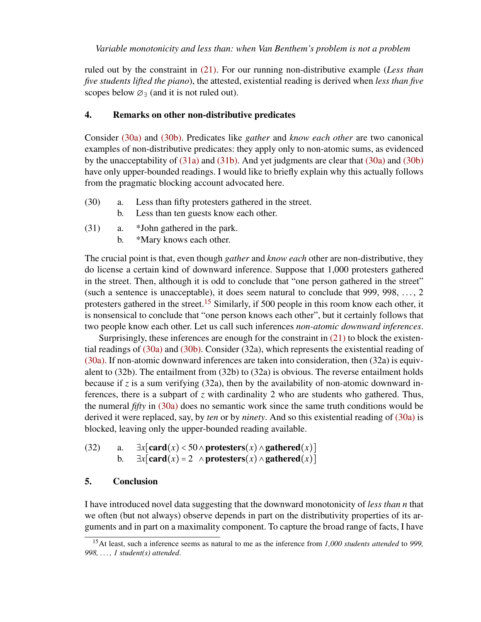ruled out by the constraint in [\(21\).](#page-6-1) For our running non-distributive example (*Less than five students lifted the piano*), the attested, existential reading is derived when *less than five* scopes below  $\varnothing$ <sup> $\exists$ </sup> (and it is not ruled out).

## <span id="page-8-0"></span>4. Remarks on other non-distributive predicates

Consider [\(30a\)](#page-8-2) and [\(30b\).](#page-8-3) Predicates like *gather* and *know each other* are two canonical examples of non-distributive predicates: they apply only to non-atomic sums, as evidenced by the unacceptability of [\(31a\)](#page-8-4) and [\(31b\).](#page-8-5) And yet judgments are clear that [\(30a\)](#page-8-2) and [\(30b\)](#page-8-3) have only upper-bounded readings. I would like to briefly explain why this actually follows from the pragmatic blocking account advocated here.

- <span id="page-8-3"></span><span id="page-8-2"></span>(30) a. Less than fifty protesters gathered in the street.
	- b. Less than ten guests know each other.
- <span id="page-8-5"></span><span id="page-8-4"></span>(31) a. \*John gathered in the park.
	- b. \*Mary knows each other.

The crucial point is that, even though *gather* and *know each* other are non-distributive, they do license a certain kind of downward inference. Suppose that 1,000 protesters gathered in the street. Then, although it is odd to conclude that "one person gathered in the street" (such a sentence is unacceptable), it does seem natural to conclude that  $999, 998, \ldots, 2$ protesters gathered in the street.<sup>[15](#page-8-6)</sup> Similarly, if 500 people in this room know each other, it is nonsensical to conclude that "one person knows each other", but it certainly follows that two people know each other. Let us call such inferences *non-atomic downward inferences*.

Surprisingly, these inferences are enough for the constraint in [\(21\)](#page-6-1) to block the existential readings of [\(30a\)](#page-8-2) and [\(30b\).](#page-8-3) Consider (32a), which represents the existential reading of [\(30a\).](#page-8-2) If non-atomic downward inferences are taken into consideration, then (32a) is equivalent to (32b). The entailment from (32b) to (32a) is obvious. The reverse entailment holds because if  $\zeta$  is a sum verifying (32a), then by the availability of non-atomic downward inferences, there is a subpart of *z* with cardinality 2 who are students who gathered. Thus, the numeral *fifty* in [\(30a\)](#page-8-2) does no semantic work since the same truth conditions would be derived it were replaced, say, by *ten* or by *ninety*. And so this existential reading of [\(30a\)](#page-8-2) is blocked, leaving only the upper-bounded reading available.

```
(32) a. \exists x[card(x) < 50∧protesters(x)∧gathered(x)]
b. ∃x[card(x) = 2 ∧ protesters(x) ∧ gathered(x)]
```
# <span id="page-8-1"></span>5. Conclusion

I have introduced novel data suggesting that the downward monotonicity of *less than n* that we often (but not always) observe depends in part on the distributivity properties of its arguments and in part on a maximality component. To capture the broad range of facts, I have

<span id="page-8-6"></span><sup>15</sup>At least, such a inference seems as natural to me as the inference from *1,000 students attended* to *999, 998, . . . , 1 student(s) attended*.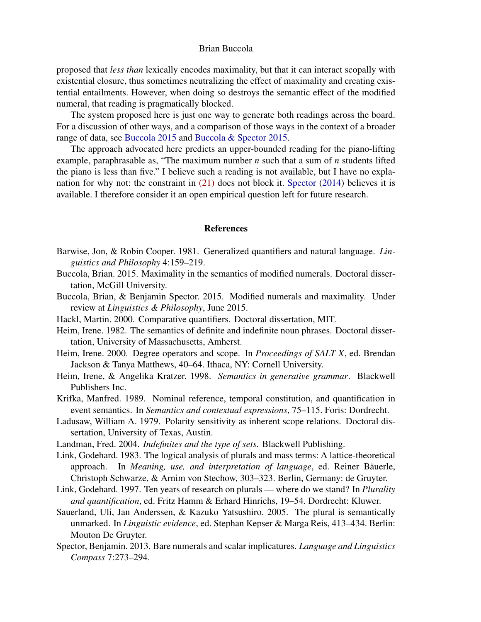proposed that *less than* lexically encodes maximality, but that it can interact scopally with existential closure, thus sometimes neutralizing the effect of maximality and creating existential entailments. However, when doing so destroys the semantic effect of the modified numeral, that reading is pragmatically blocked.

The system proposed here is just one way to generate both readings across the board. For a discussion of other ways, and a comparison of those ways in the context of a broader range of data, see [Buccola](#page-9-0) [2015](#page-9-0) and [Buccola & Spector](#page-9-1) [2015.](#page-9-1)

The approach advocated here predicts an upper-bounded reading for the piano-lifting example, paraphrasable as, "The maximum number *n* such that a sum of *n* students lifted the piano is less than five." I believe such a reading is not available, but I have no explanation for why not: the constraint in [\(21\)](#page-6-1) does not block it. [Spector](#page-10-1) [\(2014\)](#page-10-1) believes it is available. I therefore consider it an open empirical question left for future research.

#### References

- <span id="page-9-2"></span>Barwise, Jon, & Robin Cooper. 1981. Generalized quantifiers and natural language. *Linguistics and Philosophy* 4:159–219.
- <span id="page-9-0"></span>Buccola, Brian. 2015. Maximality in the semantics of modified numerals. Doctoral dissertation, McGill University.
- <span id="page-9-1"></span>Buccola, Brian, & Benjamin Spector. 2015. Modified numerals and maximality. Under review at *Linguistics & Philosophy*, June 2015.
- <span id="page-9-4"></span>Hackl, Martin. 2000. Comparative quantifiers. Doctoral dissertation, MIT.
- <span id="page-9-8"></span>Heim, Irene. 1982. The semantics of definite and indefinite noun phrases. Doctoral dissertation, University of Massachusetts, Amherst.
- <span id="page-9-3"></span>Heim, Irene. 2000. Degree operators and scope. In *Proceedings of SALT X*, ed. Brendan Jackson & Tanya Matthews, 40–64. Ithaca, NY: Cornell University.
- <span id="page-9-13"></span>Heim, Irene, & Angelika Kratzer. 1998. *Semantics in generative grammar*. Blackwell Publishers Inc.
- <span id="page-9-10"></span>Krifka, Manfred. 1989. Nominal reference, temporal constitution, and quantification in event semantics. In *Semantics and contextual expressions*, 75–115. Foris: Dordrecht.
- <span id="page-9-5"></span>Ladusaw, William A. 1979. Polarity sensitivity as inherent scope relations. Doctoral dissertation, University of Texas, Austin.
- <span id="page-9-7"></span>Landman, Fred. 2004. *Indefinites and the type of sets*. Blackwell Publishing.
- <span id="page-9-6"></span>Link, Godehard. 1983. The logical analysis of plurals and mass terms: A lattice-theoretical approach. In *Meaning, use, and interpretation of language*, ed. Reiner Bäuerle, Christoph Schwarze, & Arnim von Stechow, 303–323. Berlin, Germany: de Gruyter.
- <span id="page-9-12"></span>Link, Godehard. 1997. Ten years of research on plurals — where do we stand? In *Plurality and quantification*, ed. Fritz Hamm & Erhard Hinrichs, 19–54. Dordrecht: Kluwer.
- <span id="page-9-11"></span>Sauerland, Uli, Jan Anderssen, & Kazuko Yatsushiro. 2005. The plural is semantically unmarked. In *Linguistic evidence*, ed. Stephan Kepser & Marga Reis, 413–434. Berlin: Mouton De Gruyter.
- <span id="page-9-9"></span>Spector, Benjamin. 2013. Bare numerals and scalar implicatures. *Language and Linguistics Compass* 7:273–294.